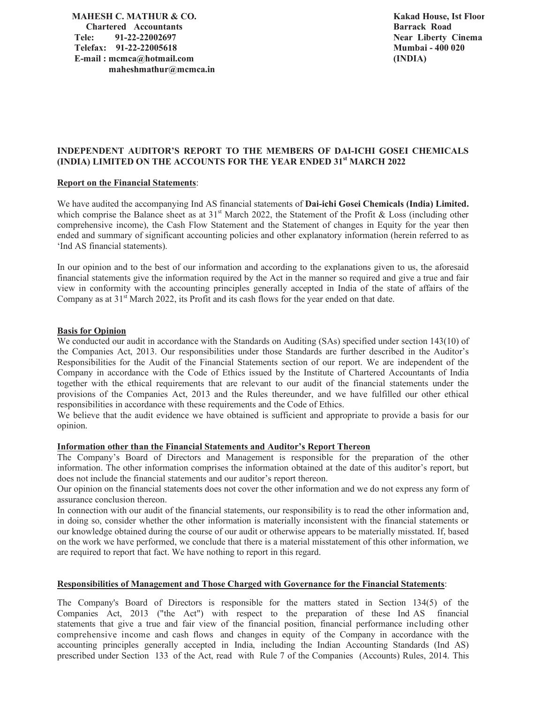**MAHESH C. MATHUR & CO. Chartered Accountants Tele: 91-22-22002697 Telefax: 91-22-22005618 E-mail : mcmca@hotmail.com maheshmathur@mcmca.in**  **Kakad House, Ist Floor Barrack Road Near Liberty Cinema Mumbai - 400 020 (INDIA)** 

# **INDEPENDENT AUDITOR'S REPORT TO THE MEMBERS OF DAI-ICHI GOSEI CHEMICALS (INDIA) LIMITED ON THE ACCOUNTS FOR THE YEAR ENDED 31st MARCH 2022**

## **Report on the Financial Statements**:

We have audited the accompanying Ind AS financial statements of **Dai-ichi Gosei Chemicals (India) Limited.** which comprise the Balance sheet as at 31<sup>st</sup> March 2022, the Statement of the Profit & Loss (including other comprehensive income), the Cash Flow Statement and the Statement of changes in Equity for the year then ended and summary of significant accounting policies and other explanatory information (herein referred to as 'Ind AS financial statements).

In our opinion and to the best of our information and according to the explanations given to us, the aforesaid financial statements give the information required by the Act in the manner so required and give a true and fair view in conformity with the accounting principles generally accepted in India of the state of affairs of the Company as at  $31<sup>st</sup>$  March 2022, its Profit and its cash flows for the year ended on that date.

## **Basis for Opinion**

We conducted our audit in accordance with the Standards on Auditing (SAs) specified under section 143(10) of the Companies Act, 2013. Our responsibilities under those Standards are further described in the Auditor's Responsibilities for the Audit of the Financial Statements section of our report. We are independent of the Company in accordance with the Code of Ethics issued by the Institute of Chartered Accountants of India together with the ethical requirements that are relevant to our audit of the financial statements under the provisions of the Companies Act, 2013 and the Rules thereunder, and we have fulfilled our other ethical responsibilities in accordance with these requirements and the Code of Ethics.

We believe that the audit evidence we have obtained is sufficient and appropriate to provide a basis for our opinion.

### **Information other than the Financial Statements and Auditor's Report Thereon**

The Company's Board of Directors and Management is responsible for the preparation of the other information. The other information comprises the information obtained at the date of this auditor's report, but does not include the financial statements and our auditor's report thereon.

Our opinion on the financial statements does not cover the other information and we do not express any form of assurance conclusion thereon.

In connection with our audit of the financial statements, our responsibility is to read the other information and, in doing so, consider whether the other information is materially inconsistent with the financial statements or our knowledge obtained during the course of our audit or otherwise appears to be materially misstated. If, based on the work we have performed, we conclude that there is a material misstatement of this other information, we are required to report that fact. We have nothing to report in this regard.

## **Responsibilities of Management and Those Charged with Governance for the Financial Statements**:

The Company's Board of Directors is responsible for the matters stated in Section 134(5) of the Companies Act, 2013 ("the Act") with respect to the preparation of these Ind AS financial statements that give a true and fair view of the financial position, financial performance including other comprehensive income and cash flows and changes in equity of the Company in accordance with the accounting principles generally accepted in India, including the Indian Accounting Standards (Ind AS) prescribed under Section 133 of the Act, read with Rule 7 of the Companies (Accounts) Rules, 2014. This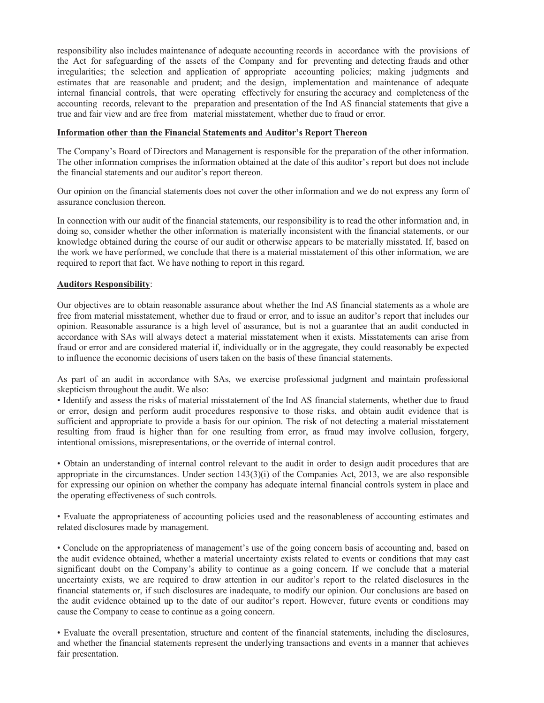responsibility also includes maintenance of adequate accounting records in accordance with the provisions of the Act for safeguarding of the assets of the Company and for preventing and detecting frauds and other irregularities; the selection and application of appropriate accounting policies; making judgments and estimates that are reasonable and prudent; and the design, implementation and maintenance of adequate internal financial controls, that were operating effectively for ensuring the accuracy and completeness of the accounting records, relevant to the preparation and presentation of the Ind AS financial statements that give a true and fair view and are free from material misstatement, whether due to fraud or error.

## **Information other than the Financial Statements and Auditor's Report Thereon**

The Company's Board of Directors and Management is responsible for the preparation of the other information. The other information comprises the information obtained at the date of this auditor's report but does not include the financial statements and our auditor's report thereon.

Our opinion on the financial statements does not cover the other information and we do not express any form of assurance conclusion thereon.

In connection with our audit of the financial statements, our responsibility is to read the other information and, in doing so, consider whether the other information is materially inconsistent with the financial statements, or our knowledge obtained during the course of our audit or otherwise appears to be materially misstated. If, based on the work we have performed, we conclude that there is a material misstatement of this other information, we are required to report that fact. We have nothing to report in this regard.

## **Auditors Responsibility**:

Our objectives are to obtain reasonable assurance about whether the Ind AS financial statements as a whole are free from material misstatement, whether due to fraud or error, and to issue an auditor's report that includes our opinion. Reasonable assurance is a high level of assurance, but is not a guarantee that an audit conducted in accordance with SAs will always detect a material misstatement when it exists. Misstatements can arise from fraud or error and are considered material if, individually or in the aggregate, they could reasonably be expected to influence the economic decisions of users taken on the basis of these financial statements.

As part of an audit in accordance with SAs, we exercise professional judgment and maintain professional skepticism throughout the audit. We also:

• Identify and assess the risks of material misstatement of the Ind AS financial statements, whether due to fraud or error, design and perform audit procedures responsive to those risks, and obtain audit evidence that is sufficient and appropriate to provide a basis for our opinion. The risk of not detecting a material misstatement resulting from fraud is higher than for one resulting from error, as fraud may involve collusion, forgery, intentional omissions, misrepresentations, or the override of internal control.

• Obtain an understanding of internal control relevant to the audit in order to design audit procedures that are appropriate in the circumstances. Under section  $143(3)(i)$  of the Companies Act, 2013, we are also responsible for expressing our opinion on whether the company has adequate internal financial controls system in place and the operating effectiveness of such controls.

• Evaluate the appropriateness of accounting policies used and the reasonableness of accounting estimates and related disclosures made by management.

• Conclude on the appropriateness of management's use of the going concern basis of accounting and, based on the audit evidence obtained, whether a material uncertainty exists related to events or conditions that may cast significant doubt on the Company's ability to continue as a going concern. If we conclude that a material uncertainty exists, we are required to draw attention in our auditor's report to the related disclosures in the financial statements or, if such disclosures are inadequate, to modify our opinion. Our conclusions are based on the audit evidence obtained up to the date of our auditor's report. However, future events or conditions may cause the Company to cease to continue as a going concern.

• Evaluate the overall presentation, structure and content of the financial statements, including the disclosures, and whether the financial statements represent the underlying transactions and events in a manner that achieves fair presentation.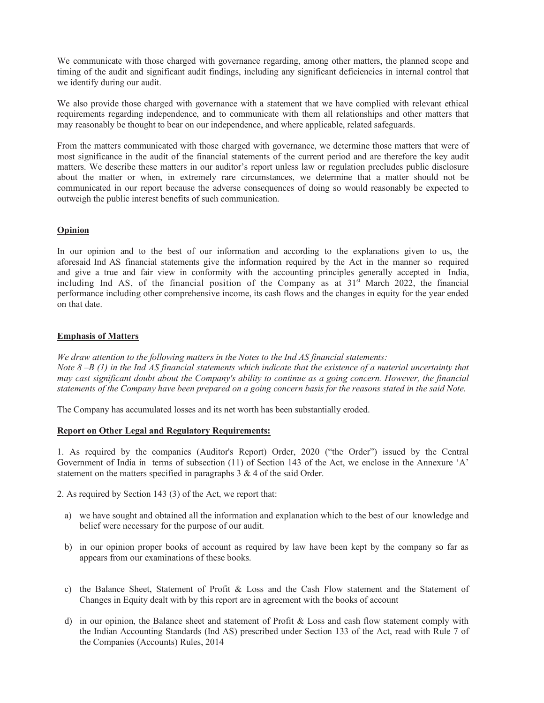We communicate with those charged with governance regarding, among other matters, the planned scope and timing of the audit and significant audit findings, including any significant deficiencies in internal control that we identify during our audit.

We also provide those charged with governance with a statement that we have complied with relevant ethical requirements regarding independence, and to communicate with them all relationships and other matters that may reasonably be thought to bear on our independence, and where applicable, related safeguards.

From the matters communicated with those charged with governance, we determine those matters that were of most significance in the audit of the financial statements of the current period and are therefore the key audit matters. We describe these matters in our auditor's report unless law or regulation precludes public disclosure about the matter or when, in extremely rare circumstances, we determine that a matter should not be communicated in our report because the adverse consequences of doing so would reasonably be expected to outweigh the public interest benefits of such communication.

# **Opinion**

In our opinion and to the best of our information and according to the explanations given to us, the aforesaid Ind AS financial statements give the information required by the Act in the manner so required and give a true and fair view in conformity with the accounting principles generally accepted in India, including Ind AS, of the financial position of the Company as at  $31<sup>st</sup>$  March 2022, the financial performance including other comprehensive income, its cash flows and the changes in equity for the year ended on that date.

# **Emphasis of Matters**

*We draw attention to the following matters in the Notes to the Ind AS financial statements: Note 8 –B (1) in the Ind AS financial statements which indicate that the existence of a material uncertainty that may cast significant doubt about the Company's ability to continue as a going concern. However, the financial statements of the Company have been prepared on a going concern basis for the reasons stated in the said Note.* 

The Company has accumulated losses and its net worth has been substantially eroded.

## **Report on Other Legal and Regulatory Requirements:**

1. As required by the companies (Auditor's Report) Order, 2020 ("the Order") issued by the Central Government of India in terms of subsection (11) of Section 143 of the Act, we enclose in the Annexure 'A' statement on the matters specified in paragraphs 3 & 4 of the said Order.

2. As required by Section 143 (3) of the Act, we report that:

- a) we have sought and obtained all the information and explanation which to the best of our knowledge and belief were necessary for the purpose of our audit.
- b) in our opinion proper books of account as required by law have been kept by the company so far as appears from our examinations of these books.
- c) the Balance Sheet, Statement of Profit & Loss and the Cash Flow statement and the Statement of Changes in Equity dealt with by this report are in agreement with the books of account
- d) in our opinion, the Balance sheet and statement of Profit & Loss and cash flow statement comply with the Indian Accounting Standards (Ind AS) prescribed under Section 133 of the Act, read with Rule 7 of the Companies (Accounts) Rules, 2014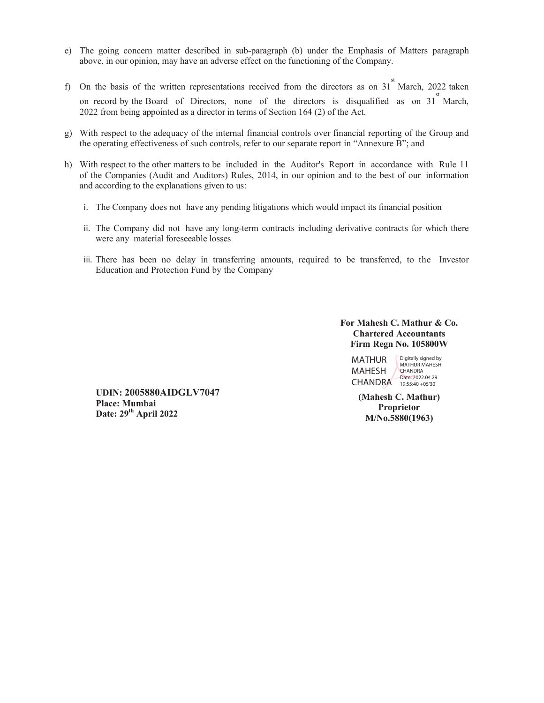- e) The going concern matter described in sub-paragraph (b) under the Emphasis of Matters paragraph above, in our opinion, may have an adverse effect on the functioning of the Company.
- f) On the basis of the written representations received from the directors as on  $31^{st}$  March, 2022 taken on record by the Board of Directors, none of the directors is disqualified as on  $31^{st}$  March, 2022 from being appointed as a director in terms of Section 164 (2) of the Act.
- g) With respect to the adequacy of the internal financial controls over financial reporting of the Group and the operating effectiveness of such controls, refer to our separate report in "Annexure B"; and
- h) With respect to the other matters to be included in the Auditor's Report in accordance with Rule 11 of the Companies (Audit and Auditors) Rules, 2014, in our opinion and to the best of our information and according to the explanations given to us:
	- i. The Company does not have any pending litigations which would impact its financial position
	- ii. The Company did not have any long-term contracts including derivative contracts for which there were any material foreseeable losses
	- iii. There has been no delay in transferring amounts, required to be transferred, to the Investor Education and Protection Fund by the Company

# **For Mahesh C. Mathur & Co. Chartered Accountants Firm Regn No. 105800W**

MATHUR MAHESH CHANDRA 19:55:40 + 05'30' Digitally signed by MATHUR MAHESH **CHANDRA** Date: 2022.04.29

**(Mahesh C. Mathur) Proprietor M/No.5880(1963)**

**UDIN: 2005880AIDGLV7047 Place: Mumbai Date: 29th April 2022**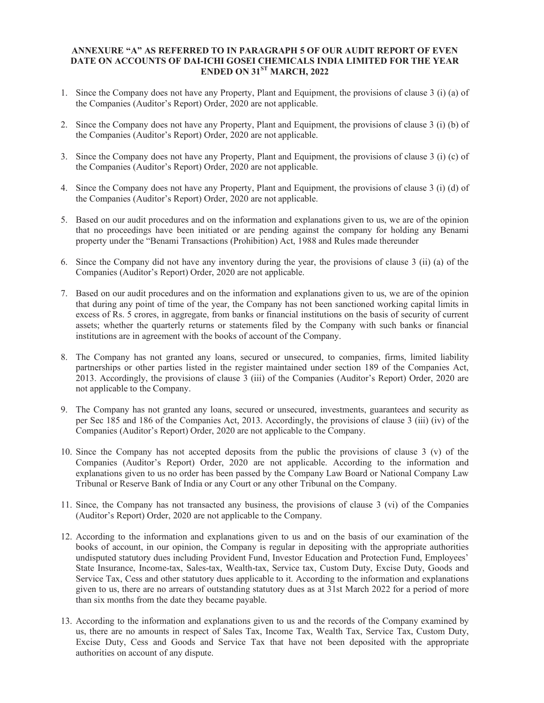# **ANNEXURE "A" AS REFERRED TO IN PARAGRAPH 5 OF OUR AUDIT REPORT OF EVEN DATE ON ACCOUNTS OF DAI-ICHI GOSEI CHEMICALS INDIA LIMITED FOR THE YEAR ENDED ON 31ST MARCH, 2022**

- 1. Since the Company does not have any Property, Plant and Equipment, the provisions of clause 3 (i) (a) of the Companies (Auditor's Report) Order, 2020 are not applicable.
- 2. Since the Company does not have any Property, Plant and Equipment, the provisions of clause 3 (i) (b) of the Companies (Auditor's Report) Order, 2020 are not applicable.
- 3. Since the Company does not have any Property, Plant and Equipment, the provisions of clause 3 (i) (c) of the Companies (Auditor's Report) Order, 2020 are not applicable.
- 4. Since the Company does not have any Property, Plant and Equipment, the provisions of clause 3 (i) (d) of the Companies (Auditor's Report) Order, 2020 are not applicable.
- 5. Based on our audit procedures and on the information and explanations given to us, we are of the opinion that no proceedings have been initiated or are pending against the company for holding any Benami property under the "Benami Transactions (Prohibition) Act, 1988 and Rules made thereunder
- 6. Since the Company did not have any inventory during the year, the provisions of clause 3 (ii) (a) of the Companies (Auditor's Report) Order, 2020 are not applicable.
- 7. Based on our audit procedures and on the information and explanations given to us, we are of the opinion that during any point of time of the year, the Company has not been sanctioned working capital limits in excess of Rs. 5 crores, in aggregate, from banks or financial institutions on the basis of security of current assets; whether the quarterly returns or statements filed by the Company with such banks or financial institutions are in agreement with the books of account of the Company.
- 8. The Company has not granted any loans, secured or unsecured, to companies, firms, limited liability partnerships or other parties listed in the register maintained under section 189 of the Companies Act, 2013. Accordingly, the provisions of clause 3 (iii) of the Companies (Auditor's Report) Order, 2020 are not applicable to the Company.
- 9. The Company has not granted any loans, secured or unsecured, investments, guarantees and security as per Sec 185 and 186 of the Companies Act, 2013. Accordingly, the provisions of clause 3 (iii) (iv) of the Companies (Auditor's Report) Order, 2020 are not applicable to the Company.
- 10. Since the Company has not accepted deposits from the public the provisions of clause 3 (v) of the Companies (Auditor's Report) Order, 2020 are not applicable. According to the information and explanations given to us no order has been passed by the Company Law Board or National Company Law Tribunal or Reserve Bank of India or any Court or any other Tribunal on the Company.
- 11. Since, the Company has not transacted any business, the provisions of clause 3 (vi) of the Companies (Auditor's Report) Order, 2020 are not applicable to the Company.
- 12. According to the information and explanations given to us and on the basis of our examination of the books of account, in our opinion, the Company is regular in depositing with the appropriate authorities undisputed statutory dues including Provident Fund, Investor Education and Protection Fund, Employees' State Insurance, Income-tax, Sales-tax, Wealth-tax, Service tax, Custom Duty, Excise Duty, Goods and Service Tax, Cess and other statutory dues applicable to it. According to the information and explanations given to us, there are no arrears of outstanding statutory dues as at 31st March 2022 for a period of more than six months from the date they became payable.
- 13. According to the information and explanations given to us and the records of the Company examined by us, there are no amounts in respect of Sales Tax, Income Tax, Wealth Tax, Service Tax, Custom Duty, Excise Duty, Cess and Goods and Service Tax that have not been deposited with the appropriate authorities on account of any dispute.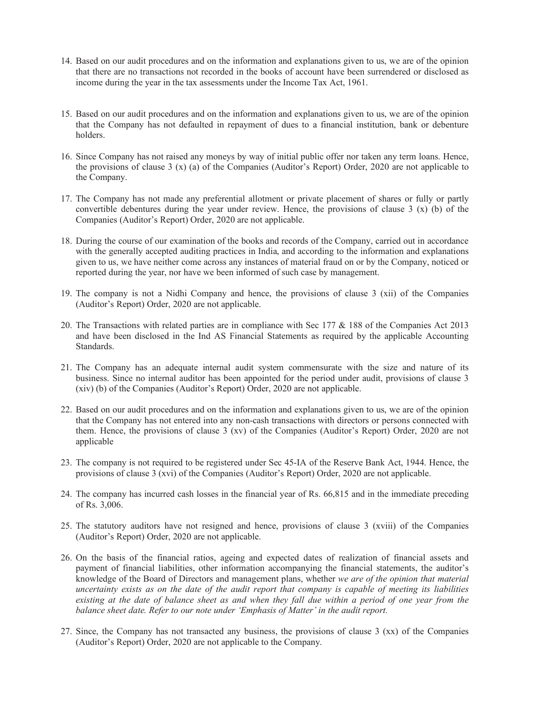- 14. Based on our audit procedures and on the information and explanations given to us, we are of the opinion that there are no transactions not recorded in the books of account have been surrendered or disclosed as income during the year in the tax assessments under the Income Tax Act, 1961.
- 15. Based on our audit procedures and on the information and explanations given to us, we are of the opinion that the Company has not defaulted in repayment of dues to a financial institution, bank or debenture holders.
- 16. Since Company has not raised any moneys by way of initial public offer nor taken any term loans. Hence, the provisions of clause 3 (x) (a) of the Companies (Auditor's Report) Order, 2020 are not applicable to the Company.
- 17. The Company has not made any preferential allotment or private placement of shares or fully or partly convertible debentures during the year under review. Hence, the provisions of clause 3 (x) (b) of the Companies (Auditor's Report) Order, 2020 are not applicable.
- 18. During the course of our examination of the books and records of the Company, carried out in accordance with the generally accepted auditing practices in India, and according to the information and explanations given to us, we have neither come across any instances of material fraud on or by the Company, noticed or reported during the year, nor have we been informed of such case by management.
- 19. The company is not a Nidhi Company and hence, the provisions of clause 3 (xii) of the Companies (Auditor's Report) Order, 2020 are not applicable.
- 20. The Transactions with related parties are in compliance with Sec 177 & 188 of the Companies Act 2013 and have been disclosed in the Ind AS Financial Statements as required by the applicable Accounting Standards.
- 21. The Company has an adequate internal audit system commensurate with the size and nature of its business. Since no internal auditor has been appointed for the period under audit, provisions of clause 3 (xiv) (b) of the Companies (Auditor's Report) Order, 2020 are not applicable.
- 22. Based on our audit procedures and on the information and explanations given to us, we are of the opinion that the Company has not entered into any non-cash transactions with directors or persons connected with them. Hence, the provisions of clause 3 (xv) of the Companies (Auditor's Report) Order, 2020 are not applicable
- 23. The company is not required to be registered under Sec 45-IA of the Reserve Bank Act, 1944. Hence, the provisions of clause 3 (xvi) of the Companies (Auditor's Report) Order, 2020 are not applicable.
- 24. The company has incurred cash losses in the financial year of Rs. 66,815 and in the immediate preceding of Rs. 3,006.
- 25. The statutory auditors have not resigned and hence, provisions of clause 3 (xviii) of the Companies (Auditor's Report) Order, 2020 are not applicable.
- 26. On the basis of the financial ratios, ageing and expected dates of realization of financial assets and payment of financial liabilities, other information accompanying the financial statements, the auditor's knowledge of the Board of Directors and management plans, whether *we are of the opinion that material uncertainty exists as on the date of the audit report that company is capable of meeting its liabilities existing at the date of balance sheet as and when they fall due within a period of one year from the balance sheet date. Refer to our note under 'Emphasis of Matter' in the audit report.*
- 27. Since, the Company has not transacted any business, the provisions of clause 3 (xx) of the Companies (Auditor's Report) Order, 2020 are not applicable to the Company.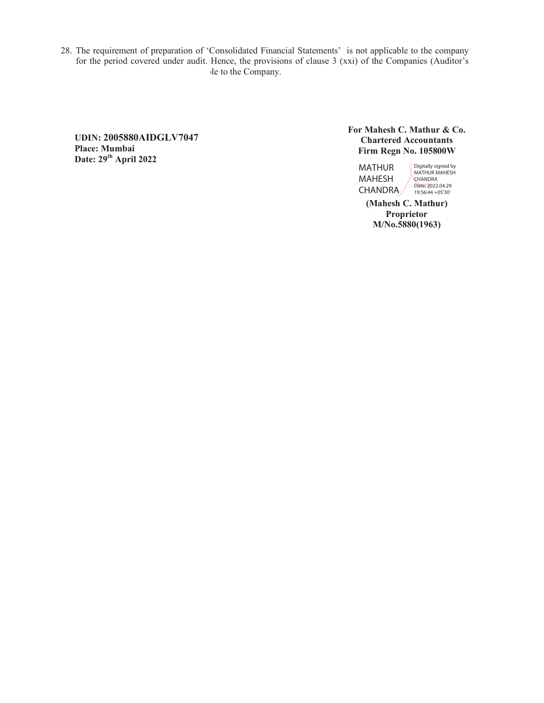28. The requirement of preparation of 'Consolidated Financial Statements' is not applicable to the company for the period covered under audit. Hence, the provisions of clause 3 (xxi) of the Companies (Auditor's le to the Company.

**UDIN: 2005880AIDGLV7047 Place: Mumbai Date: 29th April 2022** 

 **For Mahesh C. Mathur & Co. Chartered Accountants Firm Regn No. 105800W** 

MATHUR MAHESH CHANDRA Digitally signed by MATHUR MAHESH CHANDRA Date: 2022.04.29 19:56:44 +05'30'

**(Mahesh C. Mathur) Proprietor M/No.5880(1963)**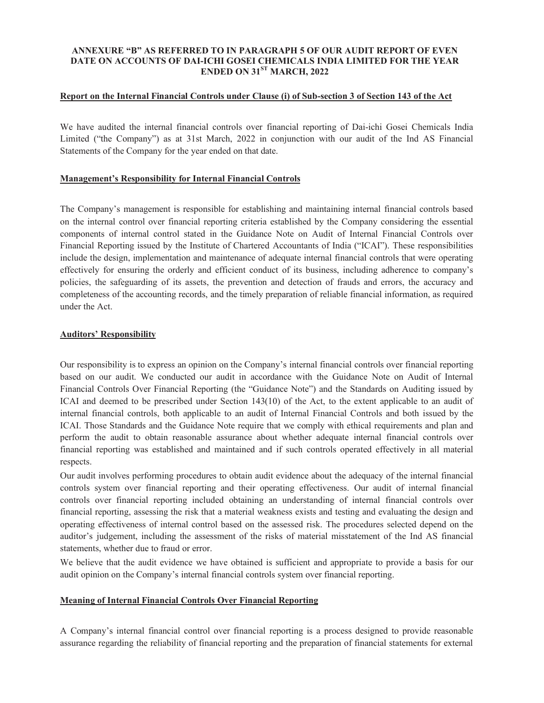# **ANNEXURE "B" AS REFERRED TO IN PARAGRAPH 5 OF OUR AUDIT REPORT OF EVEN DATE ON ACCOUNTS OF DAI-ICHI GOSEI CHEMICALS INDIA LIMITED FOR THE YEAR ENDED ON 31ST MARCH, 2022**

## **Report on the Internal Financial Controls under Clause (i) of Sub-section 3 of Section 143 of the Act**

We have audited the internal financial controls over financial reporting of Dai-ichi Gosei Chemicals India Limited ("the Company") as at 31st March, 2022 in conjunction with our audit of the Ind AS Financial Statements of the Company for the year ended on that date.

# **Management's Responsibility for Internal Financial Controls**

The Company's management is responsible for establishing and maintaining internal financial controls based on the internal control over financial reporting criteria established by the Company considering the essential components of internal control stated in the Guidance Note on Audit of Internal Financial Controls over Financial Reporting issued by the Institute of Chartered Accountants of India ("ICAI"). These responsibilities include the design, implementation and maintenance of adequate internal financial controls that were operating effectively for ensuring the orderly and efficient conduct of its business, including adherence to company's policies, the safeguarding of its assets, the prevention and detection of frauds and errors, the accuracy and completeness of the accounting records, and the timely preparation of reliable financial information, as required under the Act.

## **Auditors' Responsibility**

Our responsibility is to express an opinion on the Company's internal financial controls over financial reporting based on our audit. We conducted our audit in accordance with the Guidance Note on Audit of Internal Financial Controls Over Financial Reporting (the "Guidance Note") and the Standards on Auditing issued by ICAI and deemed to be prescribed under Section 143(10) of the Act, to the extent applicable to an audit of internal financial controls, both applicable to an audit of Internal Financial Controls and both issued by the ICAI. Those Standards and the Guidance Note require that we comply with ethical requirements and plan and perform the audit to obtain reasonable assurance about whether adequate internal financial controls over financial reporting was established and maintained and if such controls operated effectively in all material respects.

Our audit involves performing procedures to obtain audit evidence about the adequacy of the internal financial controls system over financial reporting and their operating effectiveness. Our audit of internal financial controls over financial reporting included obtaining an understanding of internal financial controls over financial reporting, assessing the risk that a material weakness exists and testing and evaluating the design and operating effectiveness of internal control based on the assessed risk. The procedures selected depend on the auditor's judgement, including the assessment of the risks of material misstatement of the Ind AS financial statements, whether due to fraud or error.

We believe that the audit evidence we have obtained is sufficient and appropriate to provide a basis for our audit opinion on the Company's internal financial controls system over financial reporting.

# **Meaning of Internal Financial Controls Over Financial Reporting**

A Company's internal financial control over financial reporting is a process designed to provide reasonable assurance regarding the reliability of financial reporting and the preparation of financial statements for external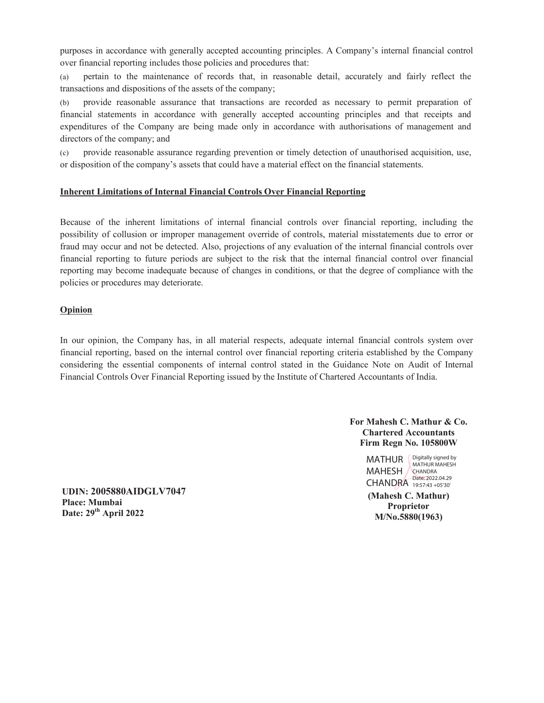purposes in accordance with generally accepted accounting principles. A Company's internal financial control over financial reporting includes those policies and procedures that:

(a) pertain to the maintenance of records that, in reasonable detail, accurately and fairly reflect the transactions and dispositions of the assets of the company;

(b) provide reasonable assurance that transactions are recorded as necessary to permit preparation of financial statements in accordance with generally accepted accounting principles and that receipts and expenditures of the Company are being made only in accordance with authorisations of management and directors of the company; and

(c) provide reasonable assurance regarding prevention or timely detection of unauthorised acquisition, use, or disposition of the company's assets that could have a material effect on the financial statements.

# **Inherent Limitations of Internal Financial Controls Over Financial Reporting**

Because of the inherent limitations of internal financial controls over financial reporting, including the possibility of collusion or improper management override of controls, material misstatements due to error or fraud may occur and not be detected. Also, projections of any evaluation of the internal financial controls over financial reporting to future periods are subject to the risk that the internal financial control over financial reporting may become inadequate because of changes in conditions, or that the degree of compliance with the policies or procedures may deteriorate.

### **Opinion**

In our opinion, the Company has, in all material respects, adequate internal financial controls system over financial reporting, based on the internal control over financial reporting criteria established by the Company considering the essential components of internal control stated in the Guidance Note on Audit of Internal Financial Controls Over Financial Reporting issued by the Institute of Chartered Accountants of India.

> **For Mahesh C. Mathur & Co. Chartered Accountants Firm Regn No. 105800W**

> > MATHUR MAHESH / CHANDRA 19:57:43 +05'30' Digitally signed by MATHUR MAHESH **CHANDRA** Date: 2022.04.29

**(Mahesh C. Mathur) Proprietor M/No.5880(1963)**

**UDIN: 2005880AIDGLV7047 Place: Mumbai Date: 29th April 2022**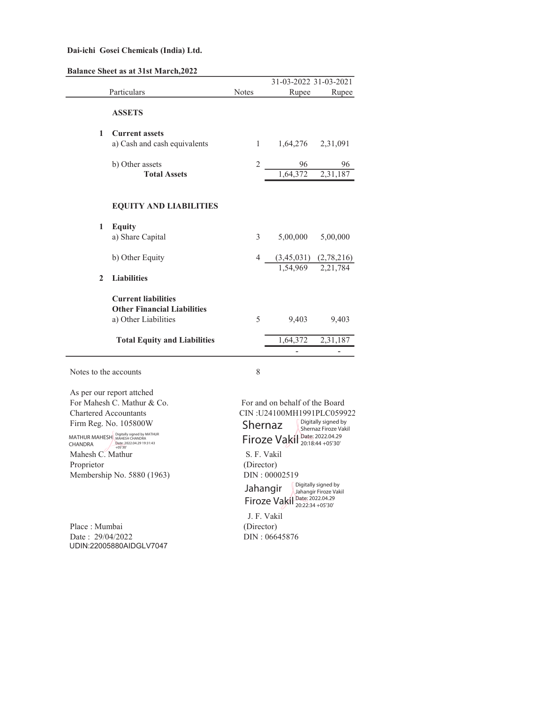| <b>Balance Sheet as at 31st March, 2022</b> |  |  |  |  |  |  |  |
|---------------------------------------------|--|--|--|--|--|--|--|
|---------------------------------------------|--|--|--|--|--|--|--|

|                       |                                                                                          |              | 31-03-2022 31-03-2021 |                                                             |
|-----------------------|------------------------------------------------------------------------------------------|--------------|-----------------------|-------------------------------------------------------------|
|                       | Particulars                                                                              | <b>Notes</b> | Rupee                 | Rupee                                                       |
|                       | <b>ASSETS</b>                                                                            |              |                       |                                                             |
| $\mathbf{1}$          | <b>Current assets</b><br>a) Cash and cash equivalents                                    | 1            |                       | 1,64,276 2,31,091                                           |
|                       | b) Other assets<br><b>Total Assets</b>                                                   | 2            | 96<br>1,64,372        | 96<br>2,31,187                                              |
|                       | <b>EQUITY AND LIABILITIES</b>                                                            |              |                       |                                                             |
| 1                     | <b>Equity</b><br>a) Share Capital                                                        | 3            | 5,00,000              | 5,00,000                                                    |
|                       | b) Other Equity                                                                          | 4            |                       | $\frac{(3,45,031)}{1,54,969}$ $\frac{(2,78,216)}{2,21,784}$ |
| $\mathbf{2}$          | <b>Liabilities</b>                                                                       |              |                       |                                                             |
|                       | <b>Current liabilities</b><br><b>Other Financial Liabilities</b><br>a) Other Liabilities | 5            | 9,403                 | 9,403                                                       |
|                       | <b>Total Equity and Liabilities</b>                                                      |              | 1,64,372              | $\sqrt{2,31,187}$                                           |
|                       |                                                                                          |              |                       |                                                             |
| Notes to the accounts |                                                                                          | 8            |                       |                                                             |

As per our report attched For Mahesh C. Mathur & Co. For and on behalf of the Board Chartered Accountants CIN :U24100MH1991PLC059922 Firm Reg. No. 105800W

MATHUR MAHESH<br>CHANDRA Digitally signed by MATHUR MAHESH CHANDRA Date: 2022.04.29 19:31:43 +05'30'

Mahesh C. Mathur S. F. Vakil Proprietor (Director) Membership No. 5880 (1963) DIN : 00002519

Place : Mumbai (Director) Date : 29/04/2022 DIN : 06645876 UDIN:22005880AIDGLV7047

Shernaz Firoze Vakil Date: 2022.04.29 Digitally signed by Shernaz Firoze Vakil 20:18:44 +05'30'

Jahangir Firoze Vakil Digitally signed by Jahangir Firoze Vakil Date: 2022.04.29 20:22:34 +05'30'

J. F. Vakil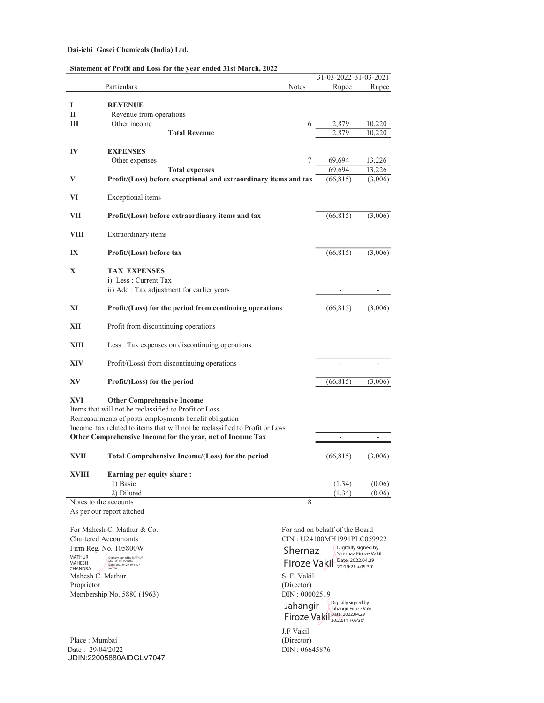| Statement of Profit and Loss for the year ended 31st March, 2022 |  |  |  |  |  |  |  |  |
|------------------------------------------------------------------|--|--|--|--|--|--|--|--|
|------------------------------------------------------------------|--|--|--|--|--|--|--|--|

|                   |                                                                                                                                                                                                                                    |                     | 31-03-2022 31-03-2021                                                         |                      |
|-------------------|------------------------------------------------------------------------------------------------------------------------------------------------------------------------------------------------------------------------------------|---------------------|-------------------------------------------------------------------------------|----------------------|
|                   | Particulars                                                                                                                                                                                                                        | Notes               | Rupee                                                                         | Rupee                |
|                   |                                                                                                                                                                                                                                    |                     |                                                                               |                      |
| Ι<br>П            | <b>REVENUE</b><br>Revenue from operations                                                                                                                                                                                          |                     |                                                                               |                      |
| Ш                 | Other income                                                                                                                                                                                                                       | 6                   | 2,879                                                                         | 10,220               |
|                   | <b>Total Revenue</b>                                                                                                                                                                                                               |                     | 2,879                                                                         | 10,220               |
|                   |                                                                                                                                                                                                                                    |                     |                                                                               |                      |
| IV                | <b>EXPENSES</b>                                                                                                                                                                                                                    |                     |                                                                               |                      |
|                   | Other expenses                                                                                                                                                                                                                     | 7                   | $\frac{69,694}{69,694}$                                                       | 13,226               |
|                   | <b>Total expenses</b>                                                                                                                                                                                                              |                     |                                                                               | 13,226               |
| V                 | Profit/(Loss) before exceptional and extraordinary items and tax                                                                                                                                                                   |                     | (66, 815)                                                                     | (3,006)              |
| VI                | Exceptional items                                                                                                                                                                                                                  |                     |                                                                               |                      |
| VII               | Profit/(Loss) before extraordinary items and tax                                                                                                                                                                                   |                     | (66, 815)                                                                     | (3,006)              |
| VIII              | Extraordinary items                                                                                                                                                                                                                |                     |                                                                               |                      |
| IX                | Profit/(Loss) before tax                                                                                                                                                                                                           |                     | (66, 815)                                                                     | (3,006)              |
| X                 | <b>TAX EXPENSES</b>                                                                                                                                                                                                                |                     |                                                                               |                      |
|                   | i) Less : Current Tax                                                                                                                                                                                                              |                     |                                                                               |                      |
|                   | ii) Add : Tax adjustment for earlier years                                                                                                                                                                                         |                     |                                                                               |                      |
|                   |                                                                                                                                                                                                                                    |                     |                                                                               |                      |
| XI                | Profit/(Loss) for the period from continuing operations                                                                                                                                                                            |                     | (66, 815)                                                                     | (3,006)              |
| XII               | Profit from discontinuing operations                                                                                                                                                                                               |                     |                                                                               |                      |
| XIII              | Less : Tax expenses on discontinuing operations                                                                                                                                                                                    |                     |                                                                               |                      |
| XIV               | Profit/(Loss) from discontinuing operations                                                                                                                                                                                        |                     |                                                                               |                      |
| XV                | Profit/)Loss) for the period                                                                                                                                                                                                       |                     | (66, 815)                                                                     | (3,006)              |
| XVI               | <b>Other Comprehensive Income</b><br>Items that will not be reclassified to Profit or Loss<br>Remeasurments of posts-employments benefit obligation<br>Income tax related to items that will not be reclassified to Profit or Loss |                     |                                                                               |                      |
|                   | Other Comprehensive Income for the year, net of Income Tax                                                                                                                                                                         |                     |                                                                               |                      |
| XVII              | Total Comprehensive Income/(Loss) for the period                                                                                                                                                                                   |                     | (66, 815)                                                                     | (3,006)              |
| XVIII             | Earning per equity share:                                                                                                                                                                                                          |                     |                                                                               |                      |
|                   | 1) Basic                                                                                                                                                                                                                           |                     | (1.34)                                                                        | (0.06)               |
|                   | 2) Diluted                                                                                                                                                                                                                         |                     | (1.34)                                                                        | (0.06)               |
|                   | Notes to the accounts                                                                                                                                                                                                              | 8                   |                                                                               |                      |
|                   | As per our report attched                                                                                                                                                                                                          |                     |                                                                               |                      |
|                   |                                                                                                                                                                                                                                    |                     |                                                                               |                      |
|                   | For Mahesh C. Mathur & Co.                                                                                                                                                                                                         |                     | For and on behalf of the Board                                                |                      |
|                   | <b>Chartered Accountants</b><br>Firm Reg. No. 105800W                                                                                                                                                                              |                     | CIN: U24100MH1991PLC059922<br>Digitally signed by                             |                      |
| <b>MATHUR</b>     | Digitally signed by MATHUR                                                                                                                                                                                                         | Shernaz             |                                                                               | Shernaz Firoze Vakil |
| MAHESH<br>CHANDRA | MAHESH CHANDRA<br>Date: 2022.04.29 19:41:27<br>$+05'30'$                                                                                                                                                                           | <b>Firoze Vakil</b> | Date: 2022.04.29<br>20:19:21 +05'30'                                          |                      |
| Mahesh C. Mathur  |                                                                                                                                                                                                                                    | S. F. Vakil         |                                                                               |                      |
| Proprietor        |                                                                                                                                                                                                                                    | (Director)          |                                                                               |                      |
|                   | Membership No. 5880 (1963)                                                                                                                                                                                                         | DIN: 00002519       |                                                                               |                      |
|                   |                                                                                                                                                                                                                                    | Jahangir            | Digitally signed by<br>Jahangir Firoze Vakil<br>Firoze Vakil Date: 2022.04.29 |                      |

Place : Mumbai (Director)<br>Date : 29/04/2022 DIN : 06645876 Date : 29/04/2022 DIN : 06645876 UDIN:22005880AIDGLV7047

J.F Vakil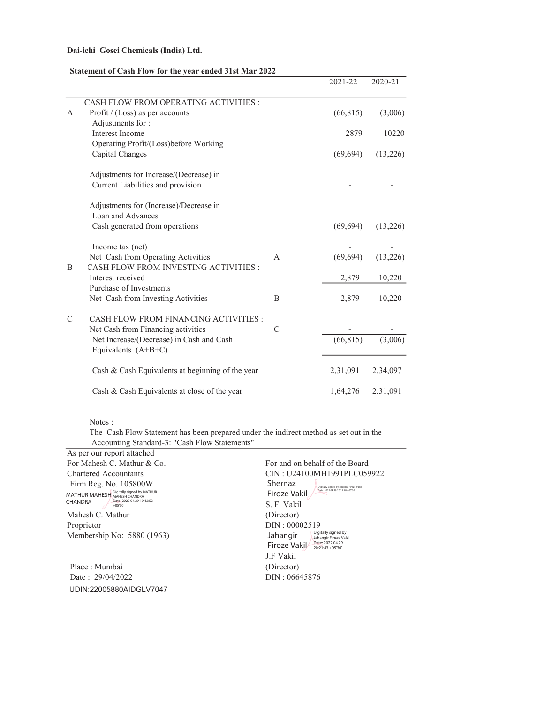## Statement of Cash Flow for the year ended 31st Mar 2022

|               |                                                                   |              | 2021-22   | $2020 - 21$ |
|---------------|-------------------------------------------------------------------|--------------|-----------|-------------|
|               | CASH FLOW FROM OPERATING ACTIVITIES :                             |              |           |             |
| A             | Profit / (Loss) as per accounts                                   |              | (66, 815) | (3,006)     |
|               | Adjustments for:                                                  |              |           |             |
|               | <b>Interest Income</b>                                            |              | 2879      | 10220       |
|               | Operating Profit/(Loss)before Working                             |              |           |             |
|               | Capital Changes                                                   |              | (69, 694) | (13,226)    |
|               | Adjustments for Increase/(Decrease) in                            |              |           |             |
|               | Current Liabilities and provision                                 |              |           |             |
|               | Adjustments for (Increase)/Decrease in<br>Loan and Advances       |              |           |             |
|               | Cash generated from operations                                    |              | (69, 694) | (13,226)    |
|               | Income tax (net)                                                  |              |           |             |
|               | Net Cash from Operating Activities                                | $\mathsf{A}$ | (69, 694) | (13,226)    |
| B             | CASH FLOW FROM INVESTING ACTIVITIES :                             |              |           |             |
|               | Interest received                                                 |              | 2,879     | 10,220      |
|               | Purchase of Investments                                           |              |           |             |
|               | Net Cash from Investing Activities                                | B            | 2,879     | 10,220      |
| $\mathcal{C}$ | CASH FLOW FROM FINANCING ACTIVITIES :                             |              |           |             |
|               | Net Cash from Financing activities                                | C            |           |             |
|               | Net Increase/(Decrease) in Cash and Cash<br>Equivalents $(A+B+C)$ |              | (66, 815) | (3,006)     |
|               | Cash & Cash Equivalents at beginning of the year                  |              | 2,31,091  | 2,34,097    |
|               | Cash & Cash Equivalents at close of the year                      |              | 1,64,276  | 2,31,091    |

Notes :

The Cash Flow Statement has been prepared under the indirect method as set out in the Accounting Standard-3: "Cash Flow Statements"

| As per our report attached                                           |                                                          |  |
|----------------------------------------------------------------------|----------------------------------------------------------|--|
| For Mahesh C. Mathur & Co.                                           | For and on behalf of the Board                           |  |
| CIN: U24100MH1991PLC059922<br><b>Chartered Accountants</b>           |                                                          |  |
| Firm Reg. No. 105800W                                                | Shernaz<br>Digitally signed by Shernaz Firoze Vakil      |  |
| Digitally signed by MATHUR<br>MAHESH CHANDRA<br><b>MATHUR MAHESH</b> | Date: 2022.04.29 20:19:48 +05'30<br>Firoze Vakil         |  |
| Date: 2022.04.29 19:42:52<br><b>CHANDRA</b><br>$+05'30'$             | S. F. Vakil                                              |  |
| Mahesh C. Mathur                                                     | (Director)                                               |  |
| Proprietor                                                           | DIN: 00002519                                            |  |
| Membership No: 5880 (1963)                                           | Digitally signed by<br>Jahangir<br>Jahangir Firoze Vakil |  |
|                                                                      | Date: 2022.04.29<br>Firoze Vakil<br>$20:21:43 + 05'30'$  |  |
|                                                                      | J.F Vakil                                                |  |
| Place: Mumbai                                                        | (Director)                                               |  |
| Date: 29/04/2022                                                     | DIN: 06645876                                            |  |
| UDIN:22005880AIDGLV7047                                              |                                                          |  |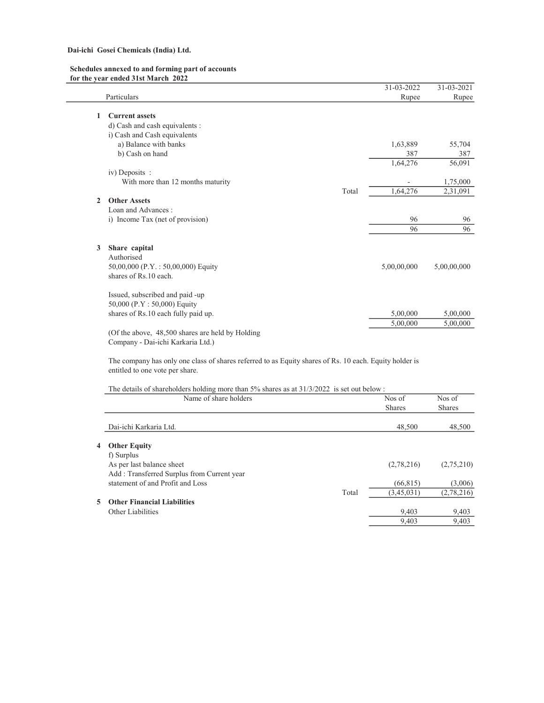### Schedules annexed to and forming part of accounts for the year ended 31st March 2022

|   |                                                                                                        | 31-03-2022  | $31 - 03 - 2021$ |
|---|--------------------------------------------------------------------------------------------------------|-------------|------------------|
|   | Particulars                                                                                            | Rupee       | Rupee            |
|   |                                                                                                        |             |                  |
| 1 | <b>Current assets</b>                                                                                  |             |                  |
|   | d) Cash and cash equivalents :                                                                         |             |                  |
|   | i) Cash and Cash equivalents                                                                           |             |                  |
|   | a) Balance with banks                                                                                  | 1,63,889    | 55,704           |
|   | b) Cash on hand                                                                                        | 387         | 387              |
|   |                                                                                                        | 1,64,276    | 56,091           |
|   | iv) Deposits :                                                                                         |             |                  |
|   | With more than 12 months maturity                                                                      |             | 1,75,000         |
|   | Total                                                                                                  | 1,64,276    | 2,31,091         |
| 2 | <b>Other Assets</b>                                                                                    |             |                  |
|   | Loan and Advances:                                                                                     |             |                  |
|   | i) Income Tax (net of provision)                                                                       | 96          | 96               |
|   |                                                                                                        | 96          | 96               |
|   |                                                                                                        |             |                  |
| 3 | Share capital                                                                                          |             |                  |
|   | Authorised                                                                                             |             |                  |
|   | 50,00,000 (P.Y.: 50,00,000) Equity                                                                     | 5,00,00,000 | 5,00,00,000      |
|   | shares of Rs.10 each.                                                                                  |             |                  |
|   | Issued, subscribed and paid -up                                                                        |             |                  |
|   | 50,000 (P.Y: 50,000) Equity                                                                            |             |                  |
|   | shares of Rs.10 each fully paid up.                                                                    | 5,00,000    | 5,00,000         |
|   |                                                                                                        | 5,00,000    | 5,00,000         |
|   | (Of the above, 48,500 shares are held by Holding                                                       |             |                  |
|   | Company - Dai-ichi Karkaria Ltd.)                                                                      |             |                  |
|   | The company has only one class of shares referred to as Equity shares of Rs. 10 each. Equity holder is |             |                  |
|   | entitled to one vote per share.                                                                        |             |                  |
|   | The details of shareholders holding more than 5% shares as at 31/3/2022 is set out below :             |             |                  |
|   | Name of share holders                                                                                  | Nos of      | Nos of           |
|   |                                                                                                        | Shares      | Shares           |
|   | Dai-ichi Karkaria Ltd.                                                                                 | 48,500      | 48,500           |
|   |                                                                                                        |             |                  |
| 4 | <b>Other Equity</b>                                                                                    |             |                  |
|   | f) Surplus                                                                                             |             |                  |
|   | As per last balance sheet                                                                              | (2,78,216)  | (2,75,210)       |
|   | Add : Transferred Surplus from Current year                                                            |             |                  |
|   | statement of and Profit and Loss                                                                       | (66, 815)   | (3,006)          |
|   | Total                                                                                                  | (3,45,031)  | (2,78,216)       |
|   |                                                                                                        |             |                  |

9,403 9,403

- 5 Other Financial Liabilities
	- Other Liabilities 9,403 9,403 9,403 9,403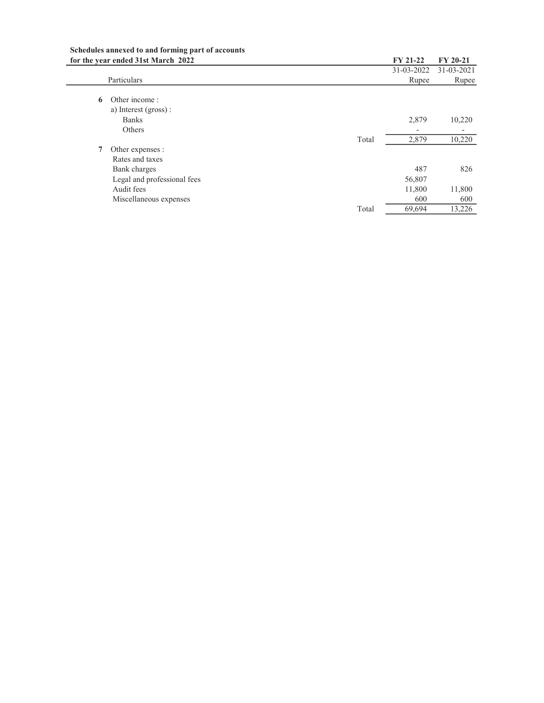| Schedules annexed to and forming part of accounts |
|---------------------------------------------------|
| for the vear ended 31st March 2022                |

|   | for the year ended 31st March 2022    |       | <b>FY 21-22</b> | FY 20-21   |
|---|---------------------------------------|-------|-----------------|------------|
|   |                                       |       | 31-03-2022      | 31-03-2021 |
|   | Particulars                           |       | Rupee           | Rupee      |
| 6 | Other income:<br>a) Interest (gross): |       |                 |            |
|   | <b>Banks</b>                          |       | 2,879           | 10,220     |
|   | Others                                |       |                 |            |
|   |                                       | Total | 2,879           | 10,220     |
| 7 | Other expenses :                      |       |                 |            |
|   | Rates and taxes                       |       |                 |            |
|   | Bank charges                          |       | 487             | 826        |
|   | Legal and professional fees           |       | 56,807          |            |
|   | Audit fees                            |       | 11,800          | 11,800     |
|   | Miscellaneous expenses                |       | 600             | 600        |
|   |                                       | Total | 69,694          | 13,226     |
|   |                                       |       |                 |            |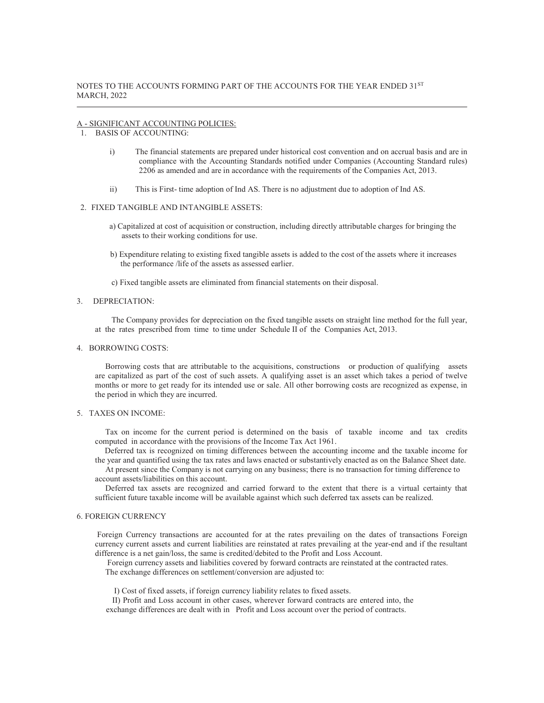#### A - SIGNIFICANT ACCOUNTING POLICIES:

- 1. BASIS OF ACCOUNTING:
	- i) The financial statements are prepared under historical cost convention and on accrual basis and are in compliance with the Accounting Standards notified under Companies (Accounting Standard rules) 2206 as amended and are in accordance with the requirements of the Companies Act, 2013.
	- ii) This is First- time adoption of Ind AS. There is no adjustment due to adoption of Ind AS.

### 2. FIXED TANGIBLE AND INTANGIBLE ASSETS:

- a) Capitalized at cost of acquisition or construction, including directly attributable charges for bringing the assets to their working conditions for use.
- b) Expenditure relating to existing fixed tangible assets is added to the cost of the assets where it increases the performance /life of the assets as assessed earlier.
- c) Fixed tangible assets are eliminated from financial statements on their disposal.

#### 3. DEPRECIATION:

 The Company provides for depreciation on the fixed tangible assets on straight line method for the full year, at the rates prescribed from time to time under Schedule II of the Companies Act, 2013.

### 4. BORROWING COSTS:

 Borrowing costs that are attributable to the acquisitions, constructions or production of qualifying assets are capitalized as part of the cost of such assets. A qualifying asset is an asset which takes a period of twelve months or more to get ready for its intended use or sale. All other borrowing costs are recognized as expense, in the period in which they are incurred.

### 5. TAXES ON INCOME:

 Tax on income for the current period is determined on the basis of taxable income and tax credits computed in accordance with the provisions of the Income Tax Act 1961.

Deferred tax is recognized on timing differences between the accounting income and the taxable income for the year and quantified using the tax rates and laws enacted or substantively enacted as on the Balance Sheet date.

 At present since the Company is not carrying on any business; there is no transaction for timing difference to account assets/liabilities on this account.

 Deferred tax assets are recognized and carried forward to the extent that there is a virtual certainty that sufficient future taxable income will be available against which such deferred tax assets can be realized.

### 6. FOREIGN CURRENCY

 Foreign Currency transactions are accounted for at the rates prevailing on the dates of transactions Foreign currency current assets and current liabilities are reinstated at rates prevailing at the year-end and if the resultant difference is a net gain/loss, the same is credited/debited to the Profit and Loss Account.

 Foreign currency assets and liabilities covered by forward contracts are reinstated at the contracted rates. The exchange differences on settlement/conversion are adjusted to:

I) Cost of fixed assets, if foreign currency liability relates to fixed assets.

 II) Profit and Loss account in other cases, wherever forward contracts are entered into, the exchange differences are dealt with in Profit and Loss account over the period of contracts.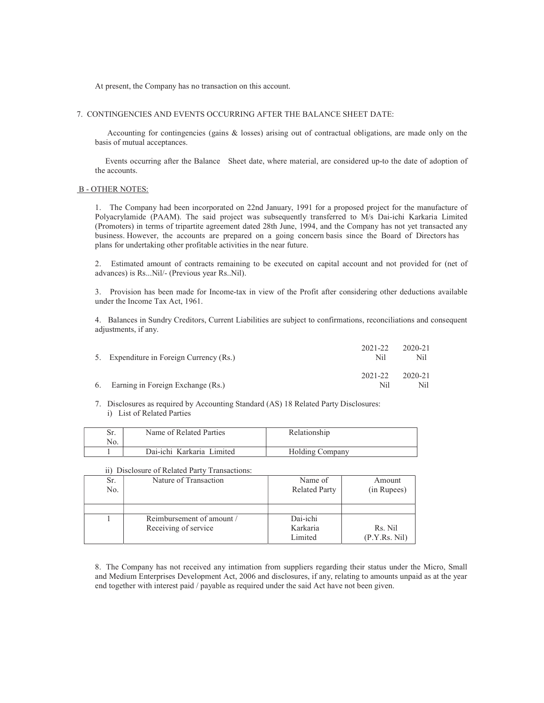At present, the Company has no transaction on this account.

### 7. CONTINGENCIES AND EVENTS OCCURRING AFTER THE BALANCE SHEET DATE:

 Accounting for contingencies (gains & losses) arising out of contractual obligations, are made only on the basis of mutual acceptances.

 Events occurring after the Balance Sheet date, where material, are considered up-to the date of adoption of the accounts.

#### B - OTHER NOTES:

1. The Company had been incorporated on 22nd January, 1991 for a proposed project for the manufacture of Polyacrylamide (PAAM). The said project was subsequently transferred to M/s Dai-ichi Karkaria Limited (Promoters) in terms of tripartite agreement dated 28th June, 1994, and the Company has not yet transacted any business. However, the accounts are prepared on a going concern basis since the Board of Directors has plans for undertaking other profitable activities in the near future.

2. Estimated amount of contracts remaining to be executed on capital account and not provided for (net of advances) is Rs...Nil/- (Previous year Rs..Nil).

3. Provision has been made for Income-tax in view of the Profit after considering other deductions available under the Income Tax Act, 1961.

4. Balances in Sundry Creditors, Current Liabilities are subject to confirmations, reconciliations and consequent adjustments, if any.

| 5. Expenditure in Foreign Currency (Rs.) | $2021 - 22$<br>Nil | 2020-21<br>Nil. |
|------------------------------------------|--------------------|-----------------|
| 6. Earning in Foreign Exchange (Rs.)     | 2021-22<br>Nil     | 2020-21<br>Nil  |

7. Disclosures as required by Accounting Standard (AS) 18 Related Party Disclosures: i) List of Related Parties

| Sr. | Name of Related Parties        | Relationshin    |
|-----|--------------------------------|-----------------|
| No. |                                |                 |
|     | Dai-ichi Karkaria l<br>Limited | Holding Company |

#### ii) Disclosure of Related Party Transactions:

| Sr. | Nature of Transaction     | Name of              | Amount       |
|-----|---------------------------|----------------------|--------------|
| No. |                           | <b>Related Party</b> | (in Rupees)  |
|     |                           |                      |              |
|     |                           |                      |              |
|     | Reimbursement of amount / | Dai-ichi             |              |
|     | Receiving of service      | Karkaria             | Rs. Nil      |
|     |                           | Limited              | (P.Y.Rs.Nil) |

8. The Company has not received any intimation from suppliers regarding their status under the Micro, Small and Medium Enterprises Development Act, 2006 and disclosures, if any, relating to amounts unpaid as at the year end together with interest paid / payable as required under the said Act have not been given.